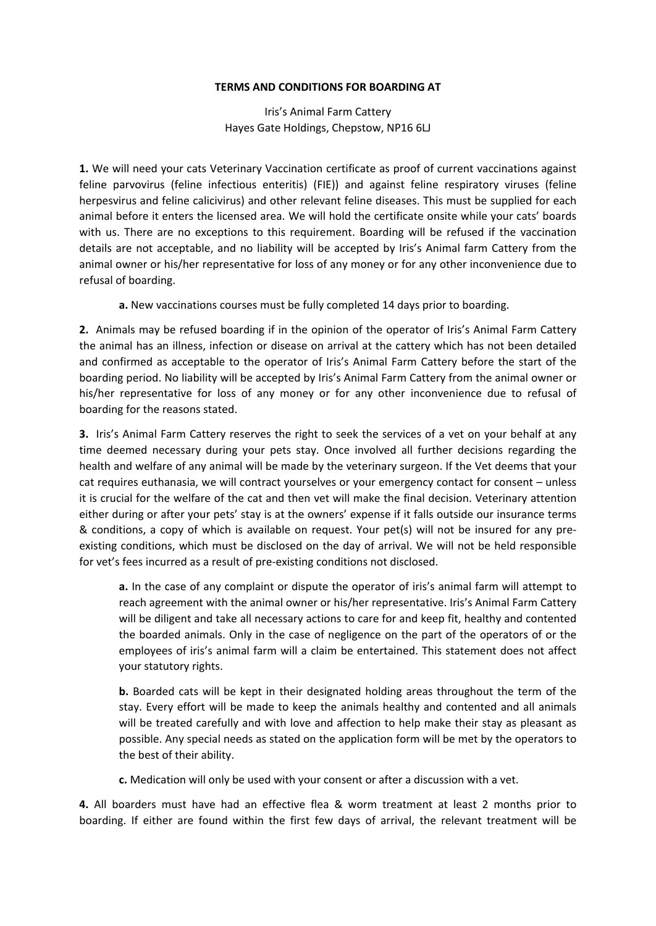## **TERMS AND CONDITIONS FOR BOARDING AT**

Iris's Animal Farm Cattery Hayes Gate Holdings, Chepstow, NP16 6LJ

**1.** We will need your cats Veterinary Vaccination certificate as proof of current vaccinations against feline parvovirus (feline infectious enteritis) (FIE)) and against feline respiratory viruses (feline herpesvirus and feline calicivirus) and other relevant feline diseases. This must be supplied for each animal before it enters the licensed area. We will hold the certificate onsite while your cats' boards with us. There are no exceptions to this requirement. Boarding will be refused if the vaccination details are not acceptable, and no liability will be accepted by Iris's Animal farm Cattery from the animal owner or his/her representative for loss of any money or for any other inconvenience due to refusal of boarding.

**a.** New vaccinations courses must be fully completed 14 days prior to boarding.

**2.** Animals may be refused boarding if in the opinion of the operator of Iris's Animal Farm Cattery the animal has an illness, infection or disease on arrival at the cattery which has not been detailed and confirmed as acceptable to the operator of Iris's Animal Farm Cattery before the start of the boarding period. No liability will be accepted by Iris's Animal Farm Cattery from the animal owner or his/her representative for loss of any money or for any other inconvenience due to refusal of boarding for the reasons stated.

**3.** Iris's Animal Farm Cattery reserves the right to seek the services of a vet on your behalf at any time deemed necessary during your pets stay. Once involved all further decisions regarding the health and welfare of any animal will be made by the veterinary surgeon. If the Vet deems that your cat requires euthanasia, we will contract yourselves or your emergency contact for consent – unless it is crucial for the welfare of the cat and then vet will make the final decision. Veterinary attention either during or after your pets' stay is at the owners' expense if it falls outside our insurance terms & conditions, a copy of which is available on request. Your pet(s) will not be insured for any preexisting conditions, which must be disclosed on the day of arrival. We will not be held responsible for vet's fees incurred as a result of pre-existing conditions not disclosed.

**a.** In the case of any complaint or dispute the operator of iris's animal farm will attempt to reach agreement with the animal owner or his/her representative. Iris's Animal Farm Cattery will be diligent and take all necessary actions to care for and keep fit, healthy and contented the boarded animals. Only in the case of negligence on the part of the operators of or the employees of iris's animal farm will a claim be entertained. This statement does not affect your statutory rights.

**b.** Boarded cats will be kept in their designated holding areas throughout the term of the stay. Every effort will be made to keep the animals healthy and contented and all animals will be treated carefully and with love and affection to help make their stay as pleasant as possible. Any special needs as stated on the application form will be met by the operators to the best of their ability.

**c.** Medication will only be used with your consent or after a discussion with a vet.

**4.** All boarders must have had an effective flea & worm treatment at least 2 months prior to boarding. If either are found within the first few days of arrival, the relevant treatment will be